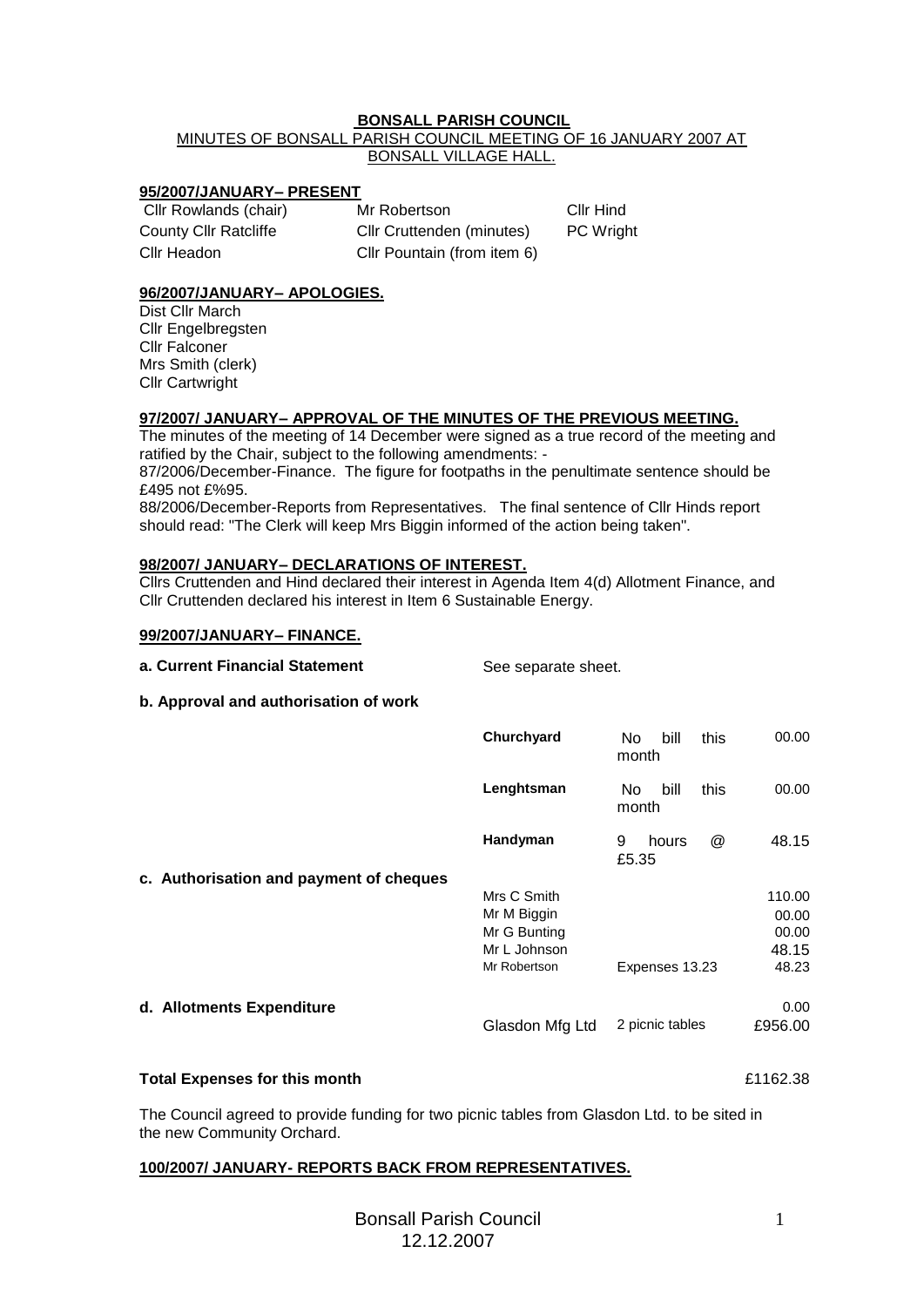## **BONSALL PARISH COUNCIL**

# MINUTES OF BONSALL PARISH COUNCIL MEETING OF 16 JANUARY 2007 AT BONSALL VILLAGE HALL.

### **95/2007/JANUARY– PRESENT**

| Cllr Rowlands (chair) | Mr Robertson                |
|-----------------------|-----------------------------|
| County Cllr Ratcliffe | Cllr Cruttenden (minutes)   |
| Cllr Headon           | Cllr Pountain (from item 6) |

## **96/2007/JANUARY– APOLOGIES.**

Dist Cllr March Cllr Engelbregsten Cllr Falconer Mrs Smith (clerk) Cllr Cartwright

### **97/2007/ JANUARY– APPROVAL OF THE MINUTES OF THE PREVIOUS MEETING.**

The minutes of the meeting of 14 December were signed as a true record of the meeting and ratified by the Chair, subject to the following amendments: -

87/2006/December-Finance. The figure for footpaths in the penultimate sentence should be £495 not £%95.

88/2006/December-Reports from Representatives. The final sentence of Cllr Hinds report should read: "The Clerk will keep Mrs Biggin informed of the action being taken".

#### **98/2007/ JANUARY– DECLARATIONS OF INTEREST.**

Cllrs Cruttenden and Hind declared their interest in Agenda Item 4(d) Allotment Finance, and Cllr Cruttenden declared his interest in Item 6 Sustainable Energy.

#### **99/2007/JANUARY– FINANCE.**

|  |  |  | a. Current Financial Statement |  |
|--|--|--|--------------------------------|--|
|--|--|--|--------------------------------|--|

See separate sheet.

Cllr Hind PC Wright

#### **b. Approval and authorisation of work**

|                                         | Churchyard      | this<br>bill<br>No.<br>month                | 00.00   |
|-----------------------------------------|-----------------|---------------------------------------------|---------|
|                                         | Lenghtsman      | bill<br>this<br>No.<br>month                | 00.00   |
| c. Authorisation and payment of cheques | Handyman        | $^{\textregistered}$<br>9<br>hours<br>£5.35 | 48.15   |
|                                         | Mrs C Smith     |                                             | 110.00  |
|                                         | Mr M Biggin     |                                             | 00.00   |
|                                         | Mr G Bunting    |                                             | 00.00   |
|                                         | Mr L Johnson    |                                             | 48.15   |
|                                         | Mr Robertson    | Expenses 13.23                              | 48.23   |
|                                         |                 |                                             |         |
| d. Allotments Expenditure               |                 |                                             | 0.00    |
|                                         | Glasdon Mfg Ltd | 2 picnic tables                             | £956.00 |

#### **Total Expenses for this month** £1162.38

The Council agreed to provide funding for two picnic tables from Glasdon Ltd. to be sited in the new Community Orchard.

#### **100/2007/ JANUARY- REPORTS BACK FROM REPRESENTATIVES.**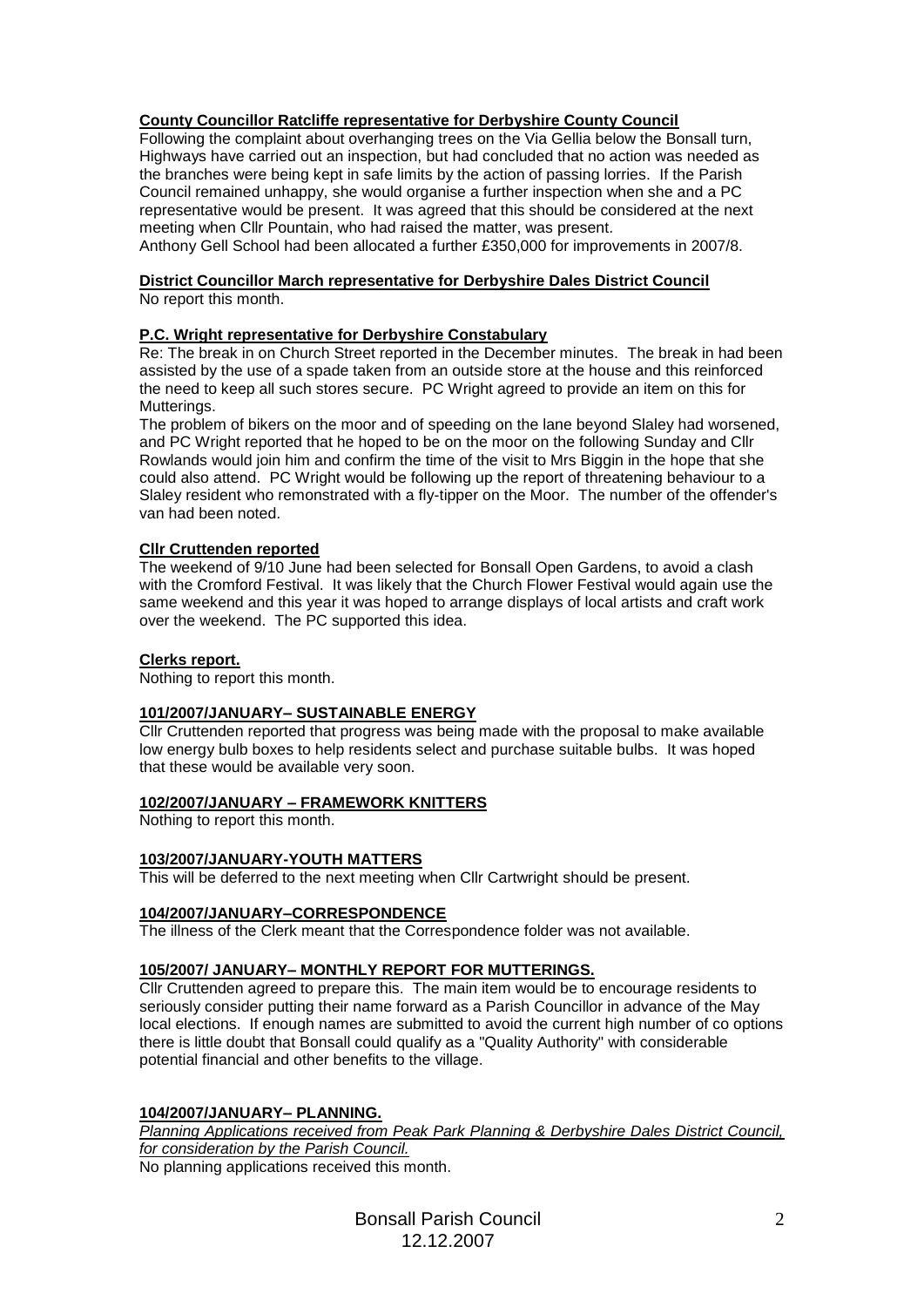# **County Councillor Ratcliffe representative for Derbyshire County Council**

Following the complaint about overhanging trees on the Via Gellia below the Bonsall turn, Highways have carried out an inspection, but had concluded that no action was needed as the branches were being kept in safe limits by the action of passing lorries. If the Parish Council remained unhappy, she would organise a further inspection when she and a PC representative would be present. It was agreed that this should be considered at the next meeting when Cllr Pountain, who had raised the matter, was present.

Anthony Gell School had been allocated a further £350,000 for improvements in 2007/8.

# **District Councillor March representative for Derbyshire Dales District Council**

No report this month.

# **P.C. Wright representative for Derbyshire Constabulary**

Re: The break in on Church Street reported in the December minutes. The break in had been assisted by the use of a spade taken from an outside store at the house and this reinforced the need to keep all such stores secure. PC Wright agreed to provide an item on this for Mutterings.

The problem of bikers on the moor and of speeding on the lane beyond Slaley had worsened, and PC Wright reported that he hoped to be on the moor on the following Sunday and Cllr Rowlands would join him and confirm the time of the visit to Mrs Biggin in the hope that she could also attend. PC Wright would be following up the report of threatening behaviour to a Slaley resident who remonstrated with a fly-tipper on the Moor. The number of the offender's van had been noted.

## **Cllr Cruttenden reported**

The weekend of 9/10 June had been selected for Bonsall Open Gardens, to avoid a clash with the Cromford Festival. It was likely that the Church Flower Festival would again use the same weekend and this year it was hoped to arrange displays of local artists and craft work over the weekend. The PC supported this idea.

## **Clerks report.**

Nothing to report this month.

## **101/2007/JANUARY– SUSTAINABLE ENERGY**

Cllr Cruttenden reported that progress was being made with the proposal to make available low energy bulb boxes to help residents select and purchase suitable bulbs. It was hoped that these would be available very soon.

## **102/2007/JANUARY – FRAMEWORK KNITTERS**

Nothing to report this month.

## **103/2007/JANUARY-YOUTH MATTERS**

This will be deferred to the next meeting when Cllr Cartwright should be present.

## **104/2007/JANUARY–CORRESPONDENCE**

The illness of the Clerk meant that the Correspondence folder was not available.

## **105/2007/ JANUARY– MONTHLY REPORT FOR MUTTERINGS.**

Cllr Cruttenden agreed to prepare this. The main item would be to encourage residents to seriously consider putting their name forward as a Parish Councillor in advance of the May local elections. If enough names are submitted to avoid the current high number of co options there is little doubt that Bonsall could qualify as a "Quality Authority" with considerable potential financial and other benefits to the village.

## **104/2007/JANUARY– PLANNING.**

*Planning Applications received from Peak Park Planning & Derbyshire Dales District Council, for consideration by the Parish Council.*

No planning applications received this month.